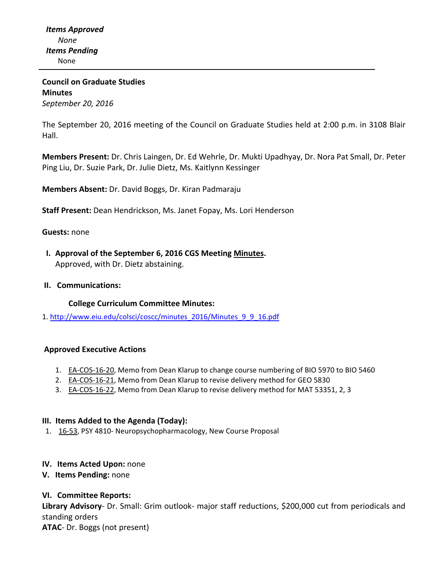**Council on Graduate Studies Minutes** *September 20, 2016*

The September 20, 2016 meeting of the Council on Graduate Studies held at 2:00 p.m. in 3108 Blair Hall.

**Members Present:** Dr. Chris Laingen, Dr. Ed Wehrle, Dr. Mukti Upadhyay, Dr. Nora Pat Small, Dr. Peter Ping Liu, Dr. Suzie Park, Dr. Julie Dietz, Ms. Kaitlynn Kessinger

**Members Absent:** Dr. David Boggs, Dr. Kiran Padmaraju

**Staff Present:** Dean Hendrickson, Ms. Janet Fopay, Ms. Lori Henderson

#### **Guests:** none

 **I. Approval of the September 6, 2016 CGS Meeting [Minutes.](http://castle.eiu.edu/eiucgs/currentminutes/Minutes09-06-16.pdf)** Approved, with Dr. Dietz abstaining.

#### **II. Communications:**

#### **College Curriculum Committee Minutes:**

1. [http://www.eiu.edu/colsci/coscc/minutes\\_2016/Minutes\\_9\\_9\\_16.pdf](http://www.eiu.edu/colsci/coscc/minutes_2016/Minutes_9_9_16.pdf)

#### **Approved Executive Actions**

- 1. **EA-[COS](http://castle.eiu.edu/eiucgs/exec-actions/EA-COS-16-20.pdf)-16-20**, Memo from Dean Klarup to change course numbering of BIO 5970 to BIO 5460
- 2. EA-[COS](http://castle.eiu.edu/eiucgs/exec-actions/EA-COS-16-21.pdf)-16-21, Memo from Dean Klarup to revise delivery method for GEO 5830
- 3. EA-[COS](http://castle.eiu.edu/eiucgs/exec-actions/EA-COS-16-22.pdf)-16-22, Memo from Dean Klarup to revise delivery method for MAT 53351, 2, 3

#### **III. Items Added to the Agenda (Today):**

1. [16](http://castle.eiu.edu/eiucgs/currentagendaitems/agenda16-53.pdf)-53, PSY 4810- Neuropsychopharmacology, New Course Proposal

#### **IV. Items Acted Upon:** none

**V. Items Pending:** none

### **VI. Committee Reports:**

**Library Advisory**‐ Dr. Small: Grim outlook‐ major staff reductions, \$200,000 cut from periodicals and standing orders **ATAC**‐ Dr. Boggs (not present)